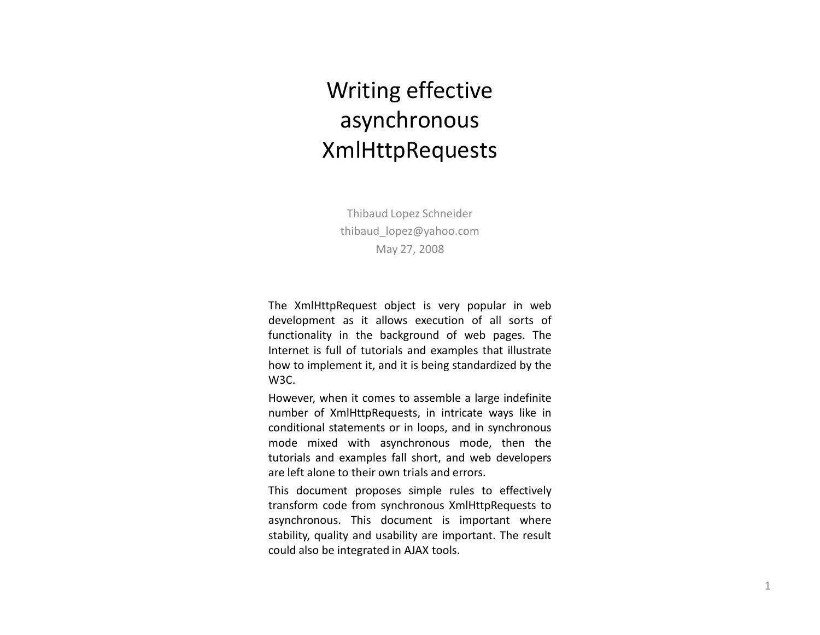## Writing effective asynchronous XmlHttpRequests

Thibaud Lopez Schneiderthibaud\_lopez@yahoo.comMay 27, 2008

The XmlHttpRequest object is very popular in web development as it allows execution of all sorts of functionality in the background of web pages. The Internet is full of tutorials and examples that illustrate how to implement it, and it is being standardized by the W3C.

However, when it comes to assemble <sup>a</sup> large indefinite number of XmlHttpRequests, in intricate ways like in conditional statements or in loops, and in synchronous mode mixed with asynchronous mode, then the tutorials and examples fall short, and web developers are left alone to their own trials and errors.

This document proposes simple rules to effectively transform code from synchronous XmlHttpRequests to asynchronous. This document is important where stability, quality and usability are important. The result could also be integrated in AJAX tools.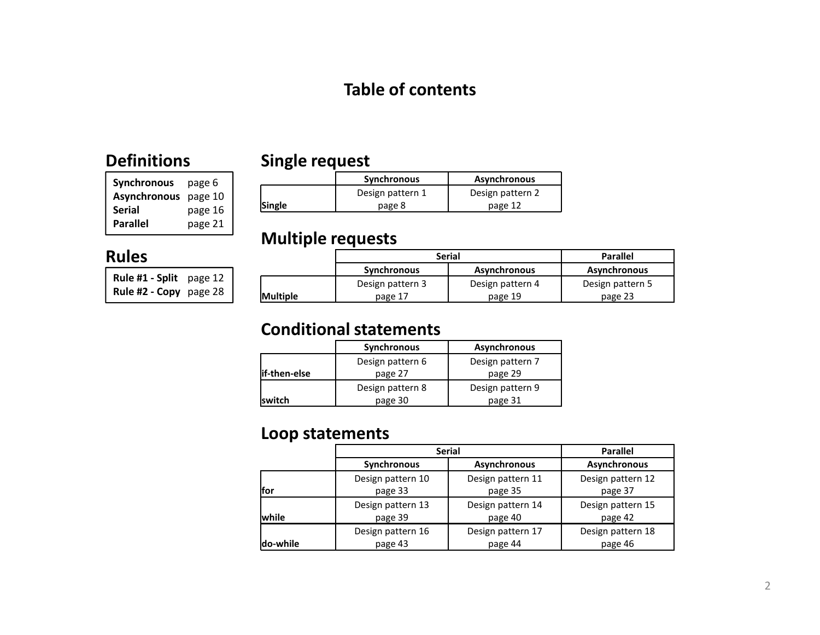### Table of contents

### Definitions

| <b>Synchronous</b>  | page 6  |
|---------------------|---------|
| <b>Asynchronous</b> | page 10 |
| <b>Serial</b>       | page 16 |
| <b>Parallel</b>     | page 21 |

### Single request

|               | Synchronous      | <b>Asynchronous</b> |
|---------------|------------------|---------------------|
|               | Design pattern 1 | Design pattern 2    |
| <b>Single</b> | page 8           | page 12             |

### Rules

| <b>Rule #1 - Split</b> page 12 |  |
|--------------------------------|--|
| <b>Rule #2 - Copy</b> page 28  |  |

| <b>Multiple requests</b> |                    |                     |                     |  |  |  |  |  |  |
|--------------------------|--------------------|---------------------|---------------------|--|--|--|--|--|--|
|                          |                    | <b>Serial</b>       | <b>Parallel</b>     |  |  |  |  |  |  |
|                          | <b>Synchronous</b> | <b>Asynchronous</b> | <b>Asynchronous</b> |  |  |  |  |  |  |
|                          | Design pattern 3   | Design pattern 4    | Design pattern 5    |  |  |  |  |  |  |
| <b>Multiple</b>          | page 17            | page 19             | page 23             |  |  |  |  |  |  |

### Conditional statements

|               | <b>Synchronous</b> | Asynchronous     |
|---------------|--------------------|------------------|
|               | Design pattern 6   | Design pattern 7 |
| lif-then-else | page 27            | page 29          |
|               | Design pattern 8   | Design pattern 9 |
| lswitch       | page 30            | page 31          |

### Loop statements

|              |                    | <b>Serial</b>       | <b>Parallel</b>   |  |  |  |  |
|--------------|--------------------|---------------------|-------------------|--|--|--|--|
|              | <b>Synchronous</b> | <b>Asynchronous</b> |                   |  |  |  |  |
| lfor         | Design pattern 10  | Design pattern 11   | Design pattern 12 |  |  |  |  |
|              | page 33            | page 35             | page 37           |  |  |  |  |
| <b>while</b> | Design pattern 13  | Design pattern 14   | Design pattern 15 |  |  |  |  |
|              | page 39            | page 40             | page 42           |  |  |  |  |
| do-while     | Design pattern 16  | Design pattern 17   | Design pattern 18 |  |  |  |  |
|              | page 43            | page 44             | page 46           |  |  |  |  |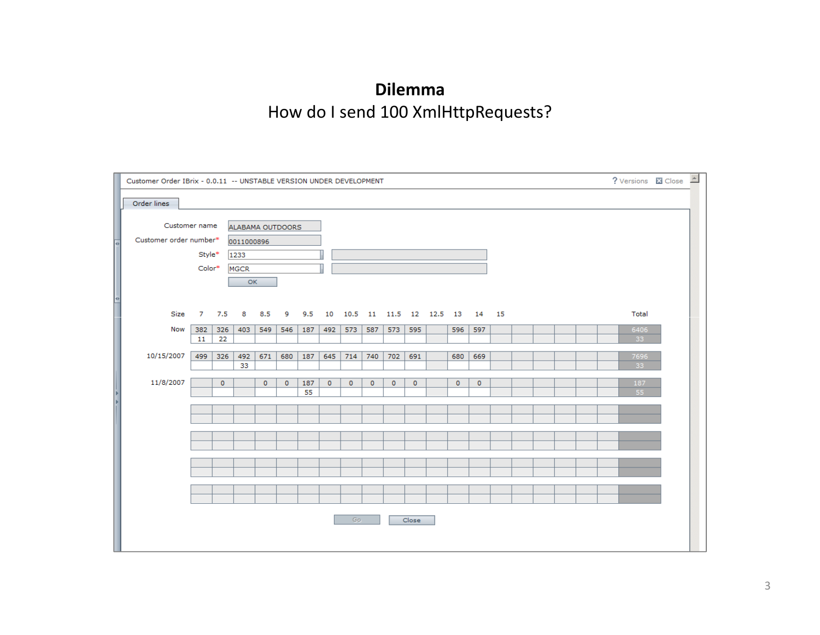## DilemmaHow do I send 100 XmlHttpRequests?

|                           | Customer Order IBrix - 0.0.11 -- UNSTABLE VERSION UNDER DEVELOPMENT |                |           |             |                  |         |           |         |             |         |           | ? Versions <b>X</b> Close <b>4</b> |  |         |                               |  |  |  |            |  |  |
|---------------------------|---------------------------------------------------------------------|----------------|-----------|-------------|------------------|---------|-----------|---------|-------------|---------|-----------|------------------------------------|--|---------|-------------------------------|--|--|--|------------|--|--|
|                           | Order lines                                                         |                |           |             |                  |         |           |         |             |         |           |                                    |  |         |                               |  |  |  |            |  |  |
|                           |                                                                     |                |           |             |                  |         |           |         |             |         |           |                                    |  |         |                               |  |  |  |            |  |  |
|                           | Customer name                                                       |                |           |             | ALABAMA OUTDOORS |         |           |         |             |         |           |                                    |  |         |                               |  |  |  |            |  |  |
|                           | Customer order number*                                              |                |           | 0011000896  |                  |         |           |         |             |         |           |                                    |  |         |                               |  |  |  |            |  |  |
|                           |                                                                     | Style*<br>1233 |           |             |                  |         |           |         |             |         |           |                                    |  |         |                               |  |  |  |            |  |  |
| <b>TO ANNOUNCE AND ST</b> |                                                                     | Color*         |           | <b>MGCR</b> |                  |         |           |         |             |         |           |                                    |  |         |                               |  |  |  |            |  |  |
|                           |                                                                     |                |           | OK          |                  |         |           |         |             |         |           |                                    |  |         |                               |  |  |  |            |  |  |
|                           |                                                                     |                |           |             |                  |         |           |         |             |         |           |                                    |  |         |                               |  |  |  |            |  |  |
|                           | Size                                                                | 7              | 7.5       | 8           | 8.5              | 9       | 9.5       | 10      |             |         |           |                                    |  |         | 10.5 11 11.5 12 12.5 13 14 15 |  |  |  | Total      |  |  |
|                           |                                                                     |                |           |             |                  |         |           |         |             |         |           |                                    |  |         |                               |  |  |  |            |  |  |
|                           | <b>Now</b>                                                          | 382<br>11      | 326<br>22 | 403         | 549              | 546     | 187       | 492     | 573         | 587     | 573       | 595                                |  | 596     | 597                           |  |  |  | 6406<br>33 |  |  |
|                           |                                                                     |                |           |             |                  |         |           |         |             |         |           |                                    |  |         |                               |  |  |  |            |  |  |
|                           | 10/15/2007                                                          | 499            | 326       | 492<br>33   | 671              | 680     | 187       | 645     | 714         | 740     | 702       | 691                                |  | 680     | 669                           |  |  |  | 7696<br>33 |  |  |
|                           |                                                                     |                |           |             |                  |         |           |         |             |         |           |                                    |  |         |                               |  |  |  |            |  |  |
| $\frac{1}{2}$             | 11/8/2007                                                           |                | $\circ$   |             | $\circ$          | $\circ$ | 187<br>55 | $\circ$ | $\mathbf 0$ | $\circ$ | $\bullet$ | 0                                  |  | $\circ$ | $\circ$                       |  |  |  | 187<br>55  |  |  |
|                           |                                                                     |                |           |             |                  |         |           |         |             |         |           |                                    |  |         |                               |  |  |  |            |  |  |
|                           |                                                                     |                |           |             |                  |         |           |         |             |         |           |                                    |  |         |                               |  |  |  |            |  |  |
|                           |                                                                     |                |           |             |                  |         |           |         |             |         |           |                                    |  |         |                               |  |  |  |            |  |  |
|                           |                                                                     |                |           |             |                  |         |           |         |             |         |           |                                    |  |         |                               |  |  |  |            |  |  |
|                           |                                                                     |                |           |             |                  |         |           |         |             |         |           |                                    |  |         |                               |  |  |  |            |  |  |
|                           |                                                                     |                |           |             |                  |         |           |         |             |         |           |                                    |  |         |                               |  |  |  |            |  |  |
|                           |                                                                     |                |           |             |                  |         |           |         |             |         |           |                                    |  |         |                               |  |  |  |            |  |  |
|                           |                                                                     |                |           |             |                  |         |           |         |             |         |           |                                    |  |         |                               |  |  |  |            |  |  |
|                           |                                                                     |                |           |             |                  |         |           |         |             |         |           |                                    |  |         |                               |  |  |  |            |  |  |
|                           |                                                                     |                |           |             |                  |         |           |         | Go.         |         |           | Close                              |  |         |                               |  |  |  |            |  |  |
|                           |                                                                     |                |           |             |                  |         |           |         |             |         |           |                                    |  |         |                               |  |  |  |            |  |  |
|                           |                                                                     |                |           |             |                  |         |           |         |             |         |           |                                    |  |         |                               |  |  |  |            |  |  |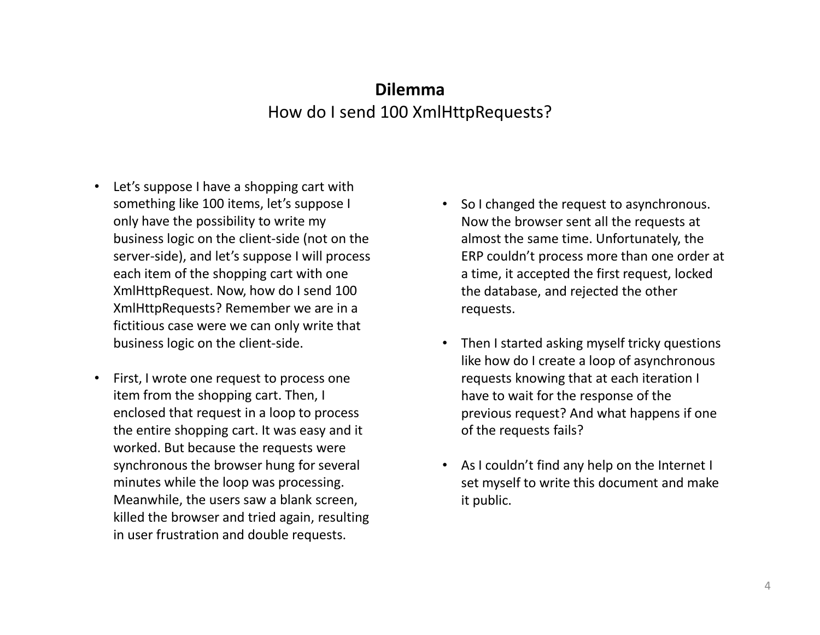### DilemmaHow do I send 100 XmlHttpRequests?

- Let's suppose I have a shopping cart with something like 100 items, let's suppose I only have the possibility to write my business logic on the client-side (not on the server-side), and let's suppose I will process each item of the shopping cart with one XmlHttpRequest. Now, how do I send 100 XmlHttpRequests? Remember we are in a fictitious case were we can only write that business logic on the client-side.
- • First, I wrote one request to process one item from the shopping cart. Then, I enclosed that request in a loop to process the entire shopping cart. It was easy and it worked. But because the requests were synchronous the browser hung for several minutes while the loop was processing. Meanwhile, the users saw a blank screen, killed the browser and tried again, resulting in user frustration and double requests.
- So I changed the request to asynchronous. Now the browser sent all the requests at almost the same time. Unfortunately, the ERP couldn't process more than one order at a time, it accepted the first request, locked the database, and rejected the other requests.
- Then I started asking myself tricky questions like how do I create a loop of asynchronous requests knowing that at each iteration I have to wait for the response of the previous request? And what happens if one of the requests fails?
- As I couldn't find any help on the Internet I set myself to write this document and make it public.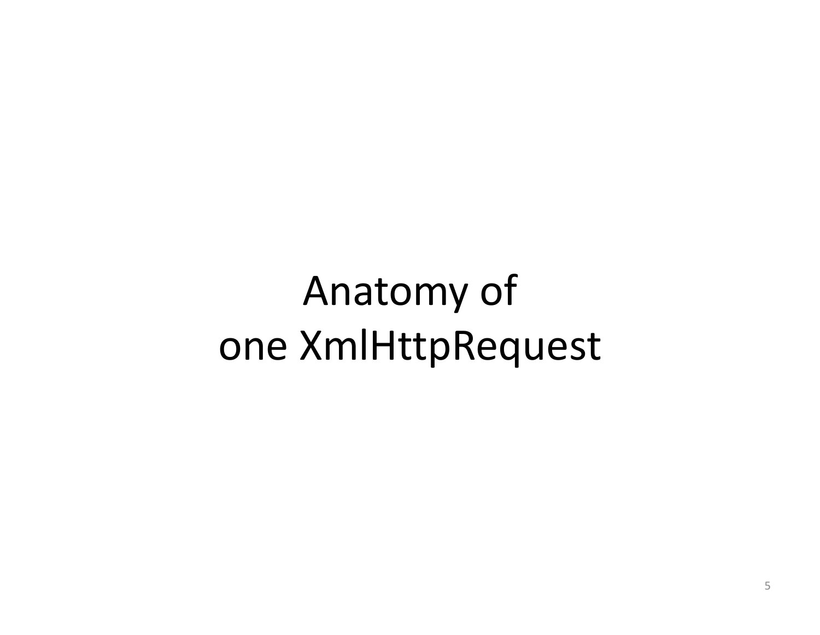# Anatomy ofone XmlHttpRequest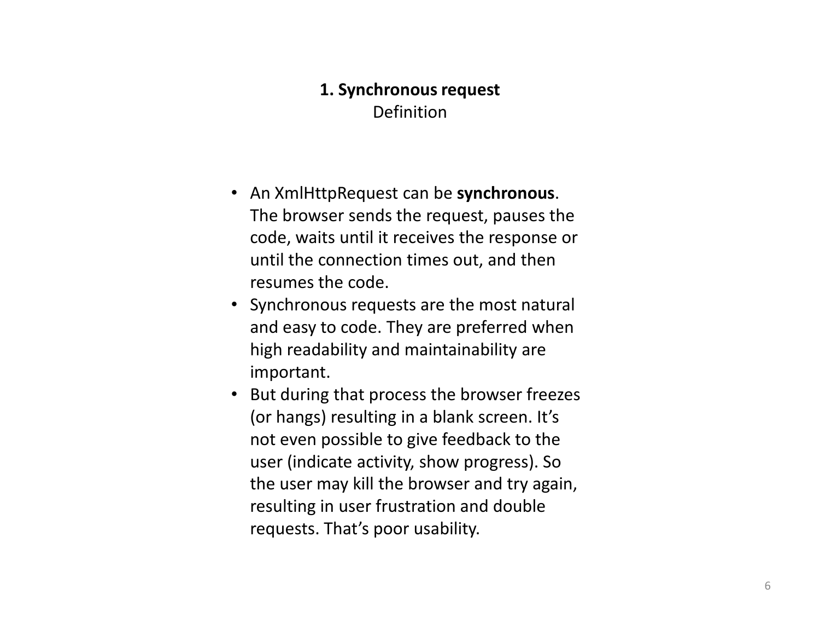### 1. Synchronous requestDefinition

- An XmlHttpRequest can be synchronous. The browser sends the request, pauses the code, waits until it receives the response or until the connection times out, and then resumes the code.
- Synchronous requests are the most natural and easy to code. They are preferred when high readability and maintainability are important.
- But during that process the browser freezes (or hangs) resulting in a blank screen. It's not even possible to give feedback to the user (indicate activity, show progress). So the user may kill the browser and try again, resulting in user frustration and double requests. That's poor usability.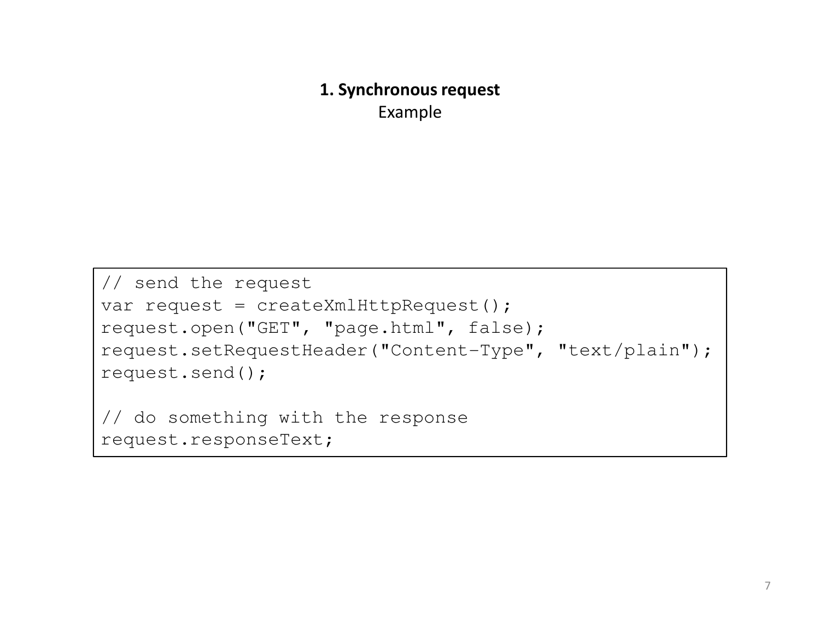### 1. Synchronous requestExample

```
// send the requestvar request = createXmlHttpRequest();
request.open("GET", "page.html", false);
request.setRequestHeader("Content-Type", "text/plain");request.send();// do something with the responserequest.responseText;
```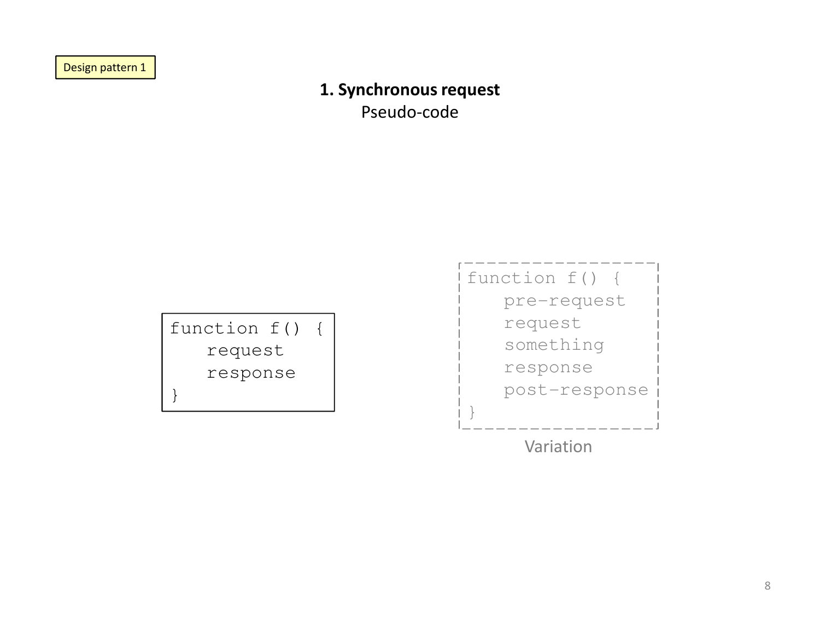Design pattern 1

### 1. Synchronous request

Pseudo-code



Variation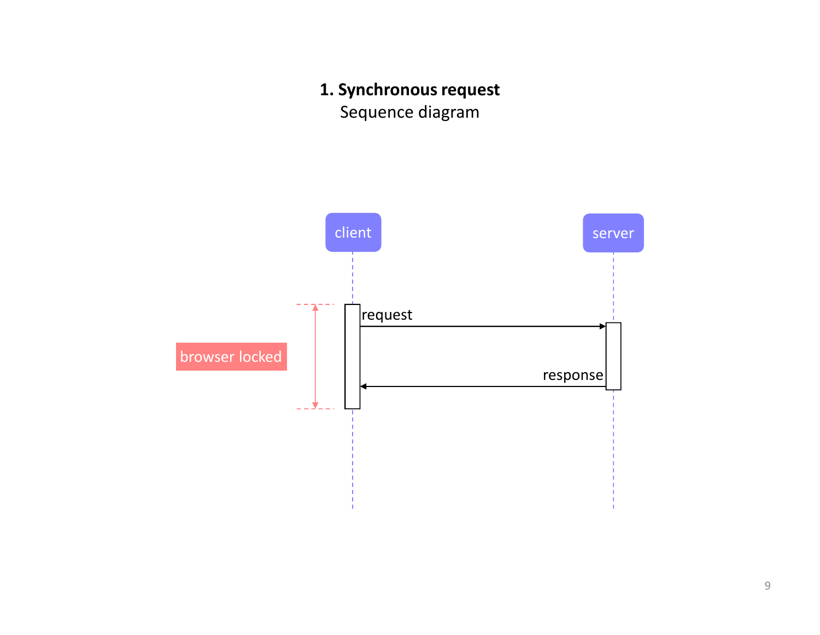## 1. Synchronous request

Sequence diagram

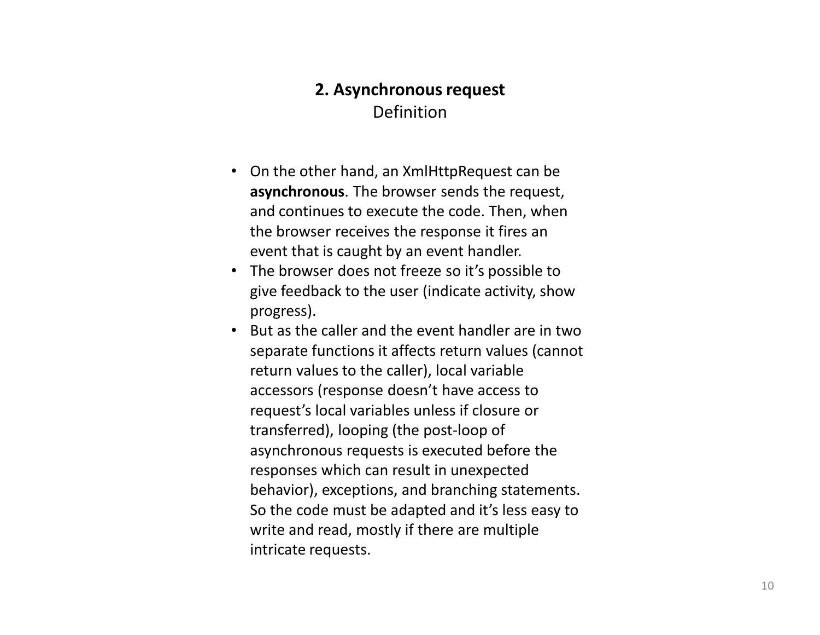### 2. Asynchronous requestDefinition

- On the other hand, an XmlHttpRequest can be asynchronous. The browser sends the request, and continues to execute the code. Then, when the browser receives the response it fires an event that is caught by an event handler.
- The browser does not freeze so it's possible to give feedback to the user (indicate activity, show progress).
- But as the caller and the event handler are in two separate functions it affects return values (cannotreturn values to the caller), local variable accessors (response doesn't have access to request's local variables unless if closure or transferred), looping (the post-loop of asynchronous requests is executed before the responses which can result in unexpected behavior), exceptions, and branching statements. So the code must be adapted and it's less easy to write and read, mostly if there are multiple intricate requests.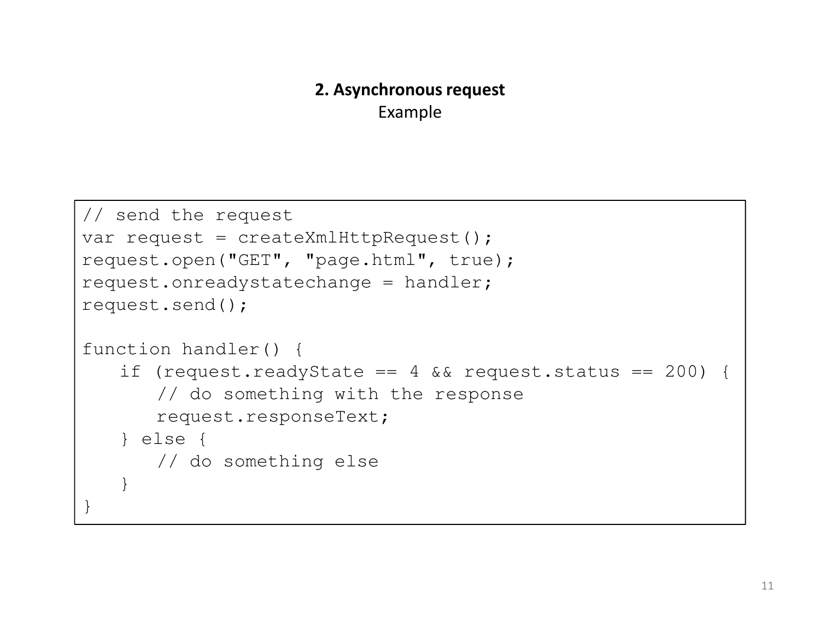### 2. Asynchronous requestExample

```
// send the requestvar request = createXmlHttpRequest();
request.open("GET", "page.html", true);request.onreadystatechange = handler;
request.send();function handler() {
if (request.readyState == 4 && request.status == 200) {
      // do something with the responserequest.responseText;} else {
// do something else}}
```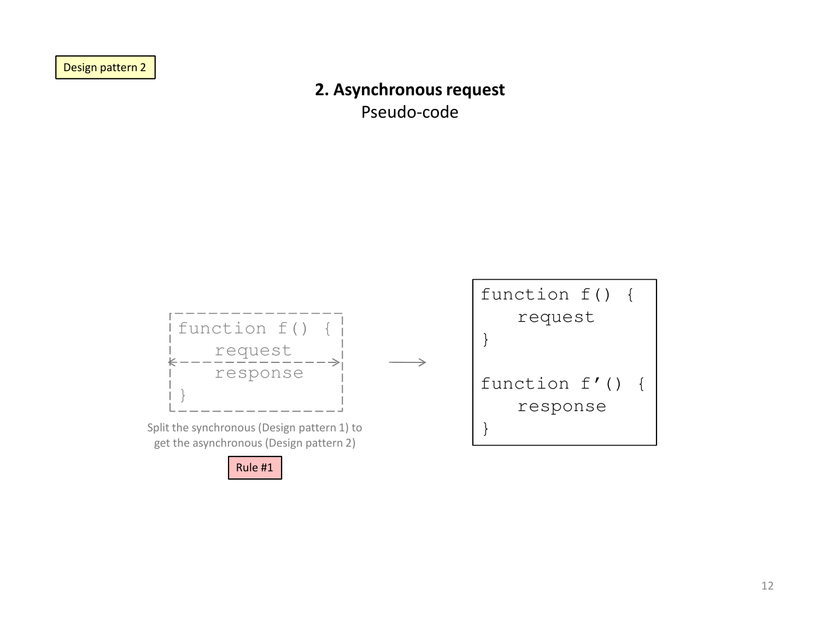Design pattern 2

### 2. Asynchronous request

Pseudo-code

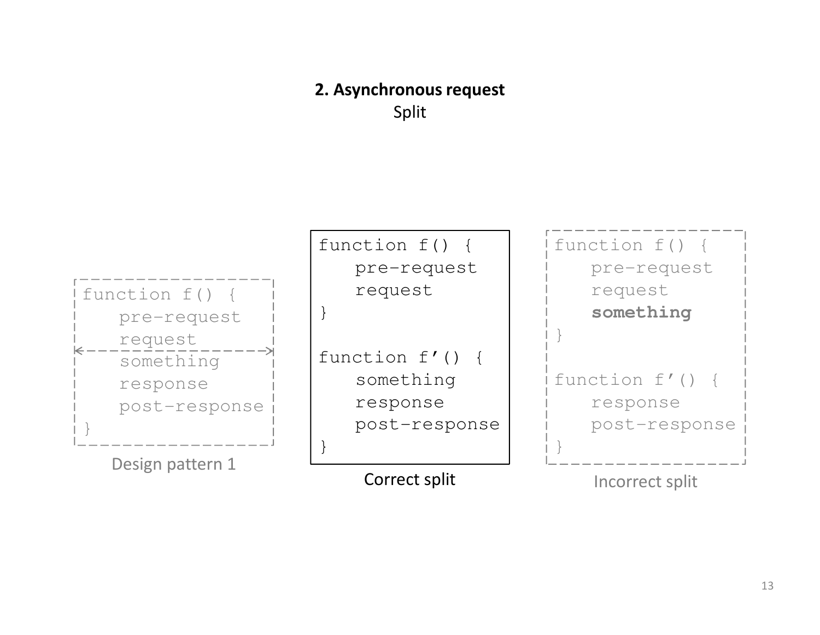## 2. Asynchronous requestSplit

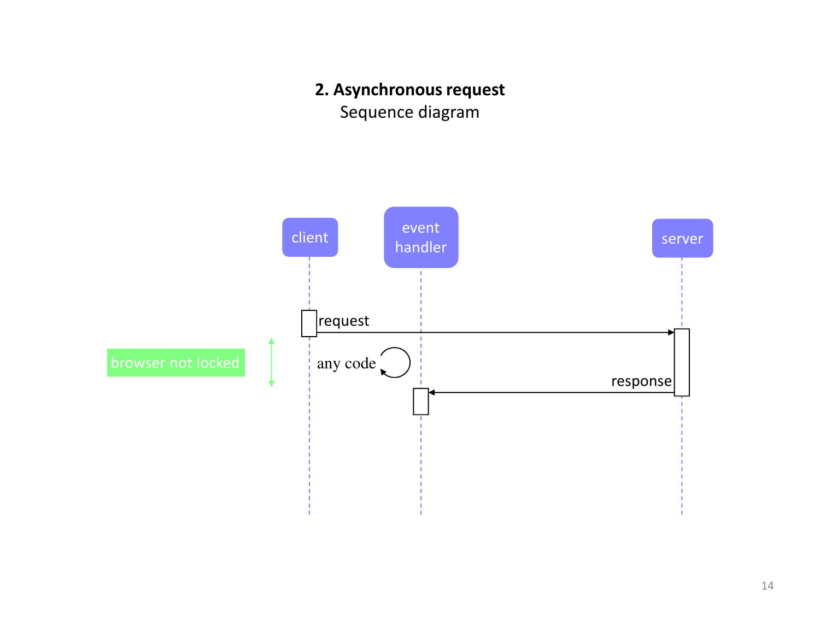## 2. Asynchronous request

Sequence diagram

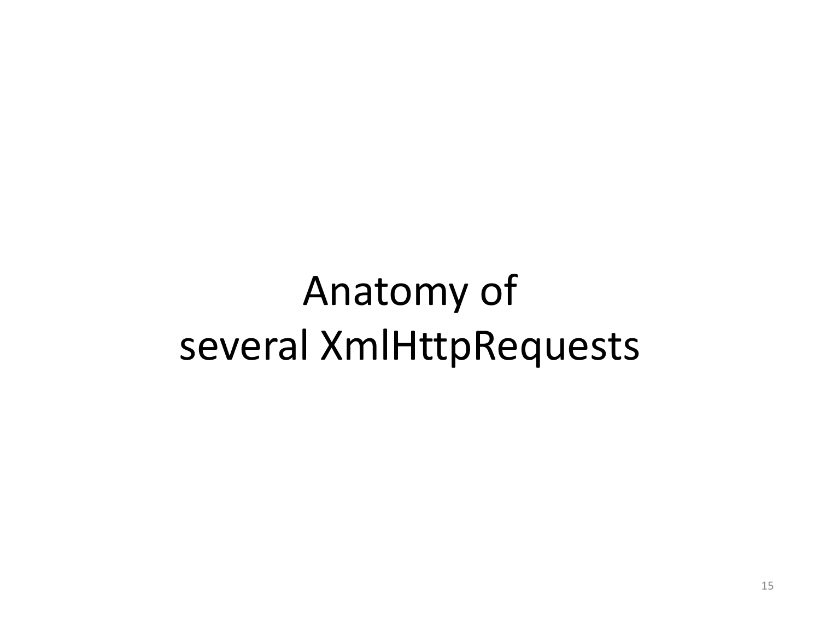# Anatomy ofseveral XmlHttpRequests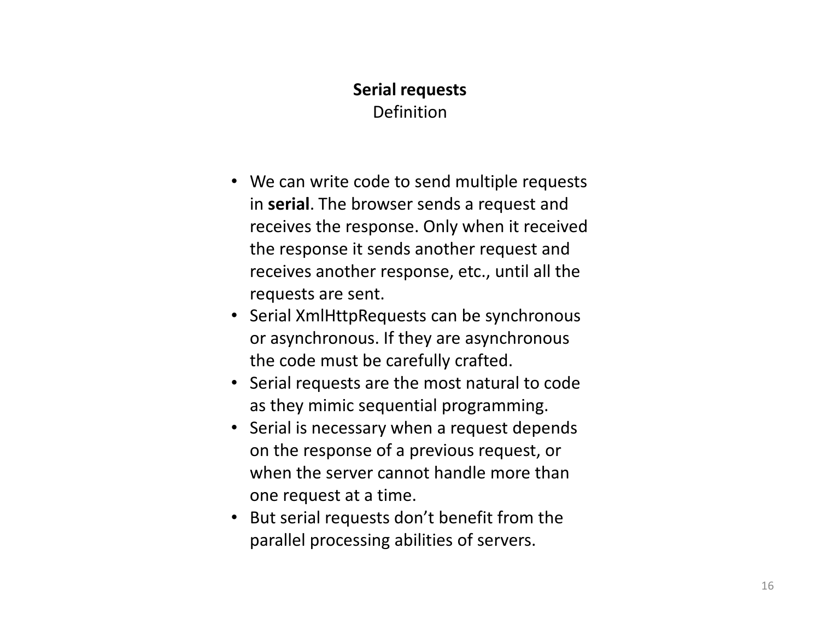### Serial requestsDefinition

- We can write code to send multiple requests in serial. The browser sends a request and receives the response. Only when it received the response it sends another request and receives another response, etc., until all the requests are sent.
- Serial XmlHttpRequests can be synchronous or asynchronous. If they are asynchronous the code must be carefully crafted.
- Serial requests are the most natural to code as they mimic sequential programming.
- Serial is necessary when a request depends on the response of a previous request, or when the server cannot handle more than one request at a time.
- But serial requests don't benefit from the parallel processing abilities of servers.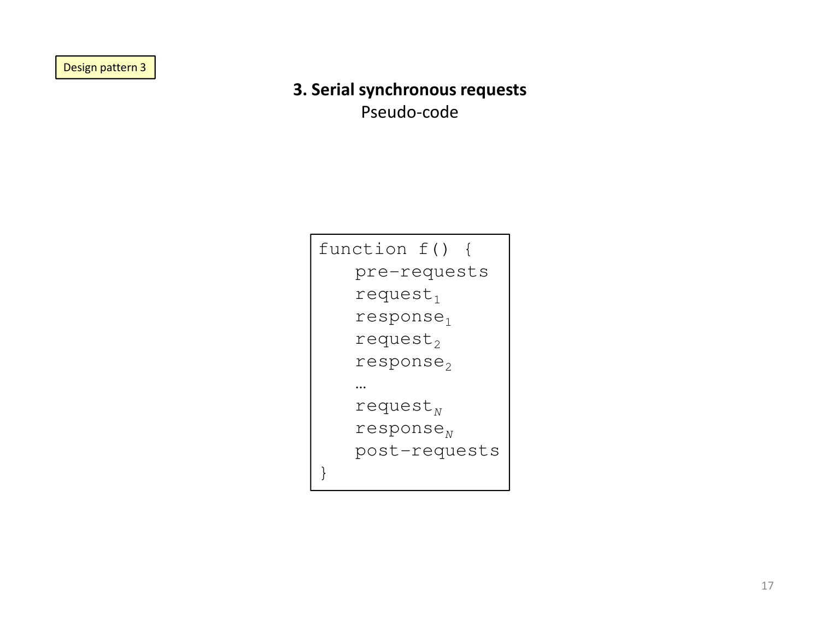Design pattern 3

## 3. Serial synchronous requests

Pseudo-code

| function f()                      |
|-----------------------------------|
| pre-requests                      |
| $request_1$                       |
| response <sub>1</sub>             |
| request $_2$                      |
| response <sub>2</sub>             |
|                                   |
| request $_{\scriptscriptstyle N}$ |
| response $_{\textrm{\tiny }N}$    |
| post-requests                     |
|                                   |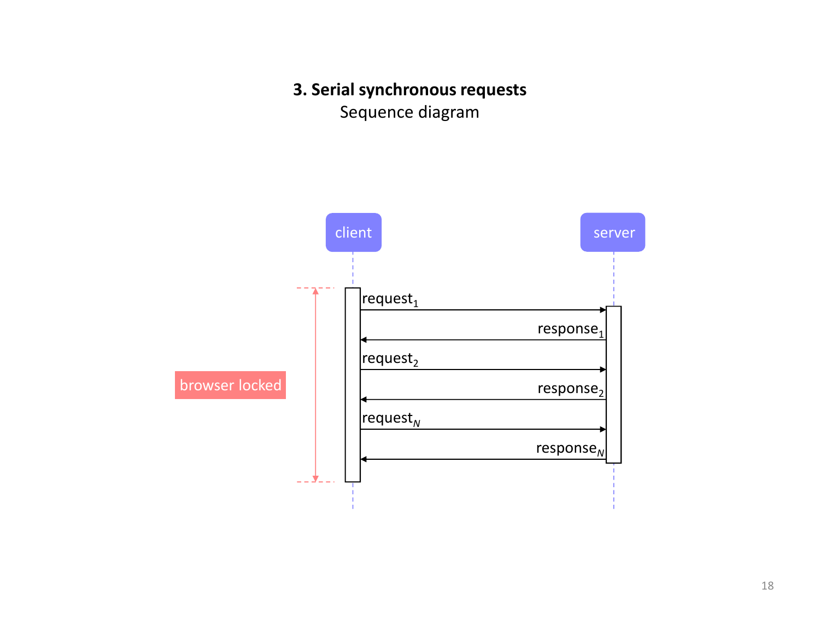### 3. Serial synchronous requests

Sequence diagram

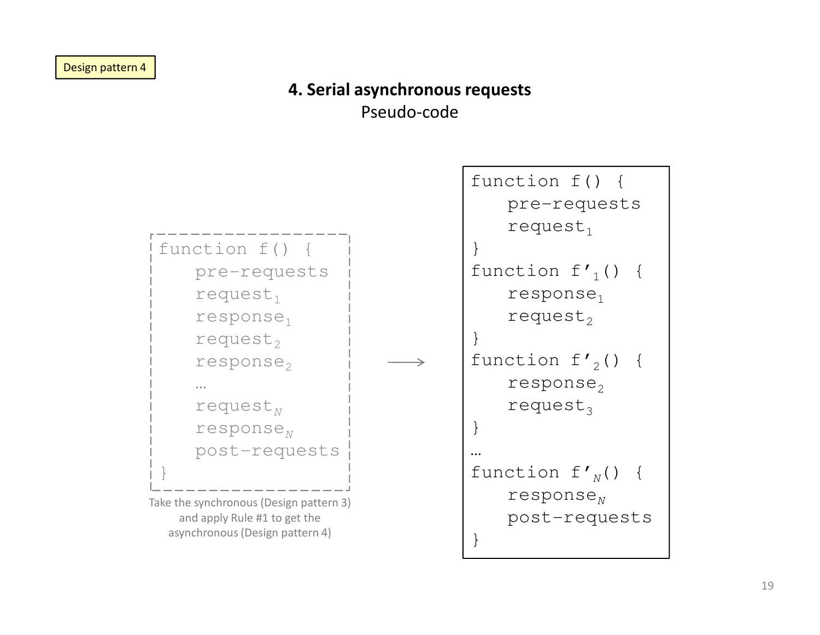## 4. Serial asynchronous requests

Pseudo-code

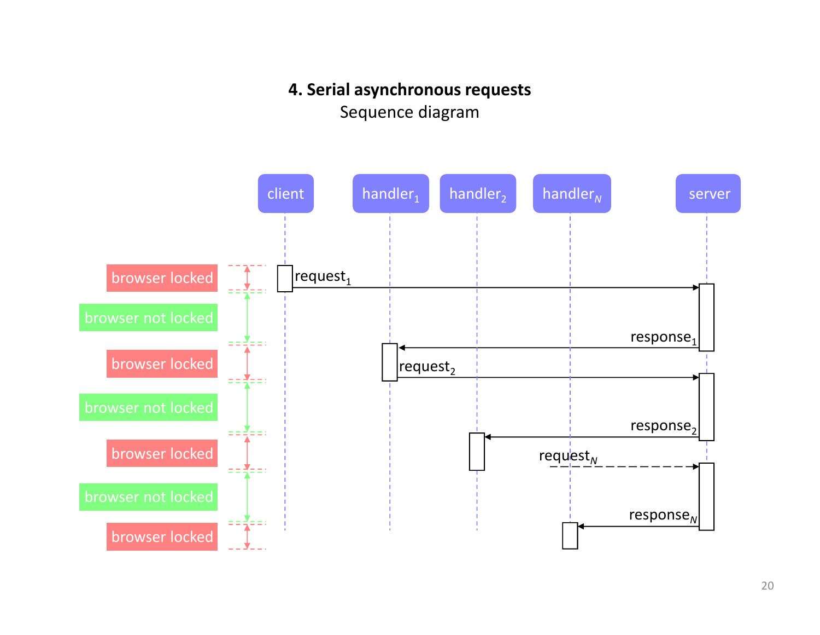### 4. Serial asynchronous requests

Sequence diagram

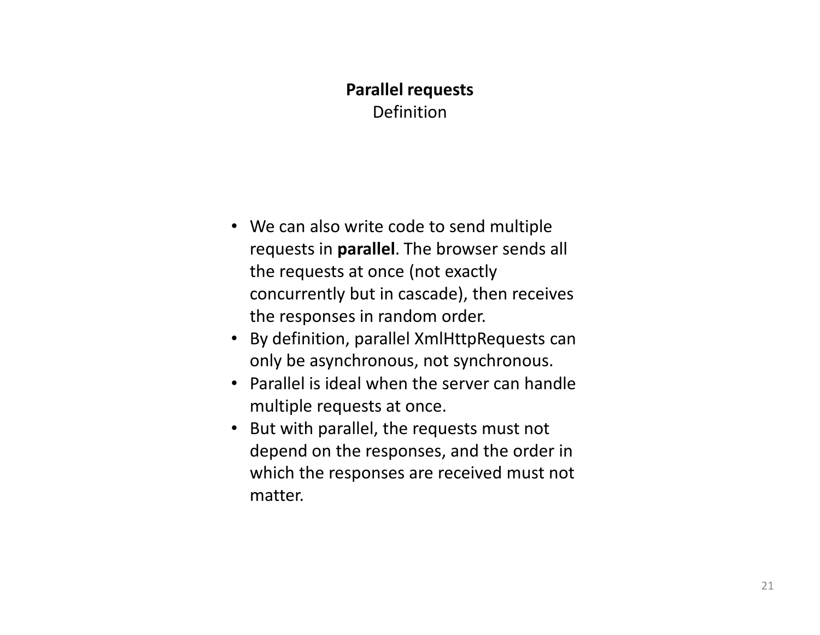## Parallel requestsDefinition

- We can also write code to send multiple requests in parallel. The browser sends all the requests at once (not exactly concurrently but in cascade), then receives the responses in random order.
- By definition, parallel XmlHttpRequests can only be asynchronous, not synchronous.
- Parallel is ideal when the server can handle multiple requests at once.
- But with parallel, the requests must not depend on the responses, and the order in which the responses are received must not matter.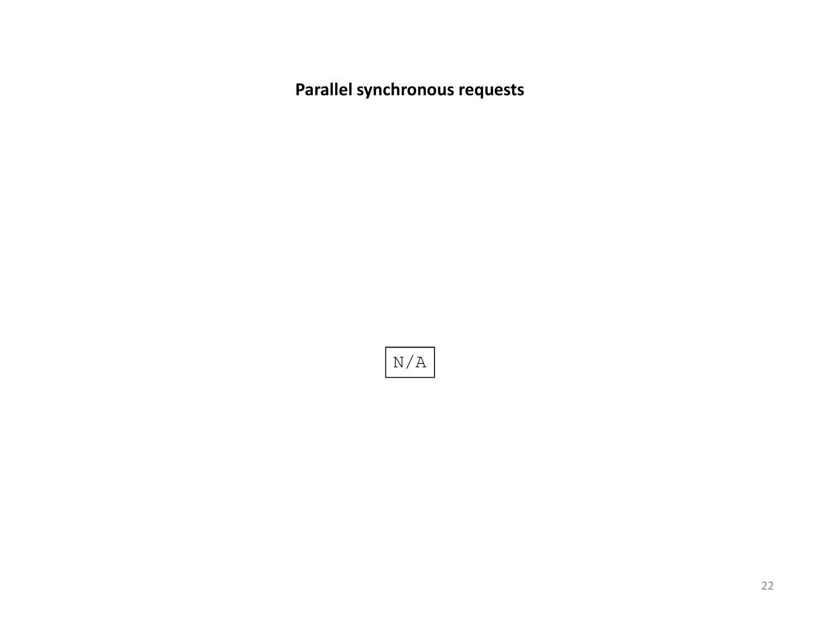Parallel synchronous requests

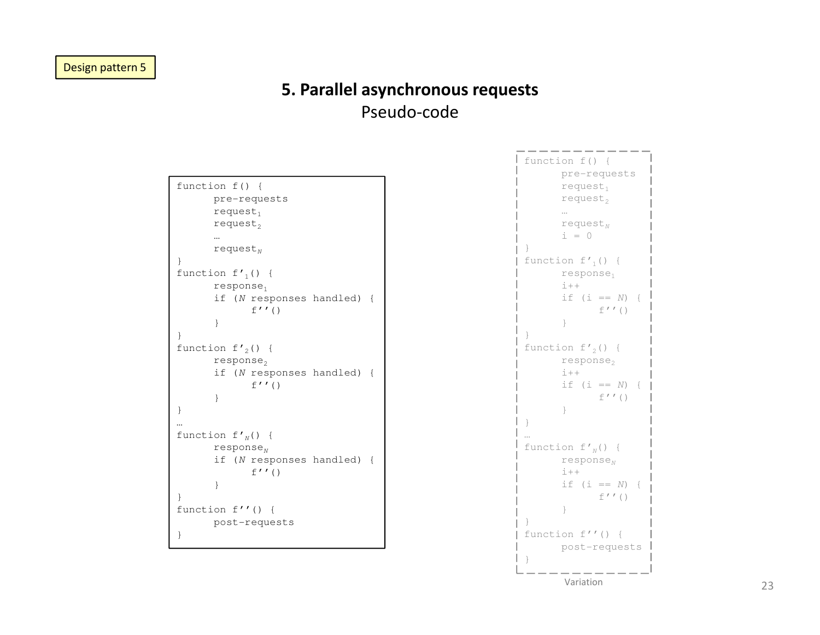### 5. Parallel asynchronous requestsPseudo-code

| function $f() \{$     |                       |                            |  |  |  |  |  |  |  |  |
|-----------------------|-----------------------|----------------------------|--|--|--|--|--|--|--|--|
|                       |                       | pre-requests               |  |  |  |  |  |  |  |  |
|                       | $request_1$           |                            |  |  |  |  |  |  |  |  |
|                       | request <sub>2</sub>  |                            |  |  |  |  |  |  |  |  |
|                       |                       |                            |  |  |  |  |  |  |  |  |
|                       |                       |                            |  |  |  |  |  |  |  |  |
|                       | request <sub>N</sub>  |                            |  |  |  |  |  |  |  |  |
| $\mathcal{E}$         |                       |                            |  |  |  |  |  |  |  |  |
| function $f'_{1}()$ { |                       |                            |  |  |  |  |  |  |  |  |
|                       | response <sub>1</sub> |                            |  |  |  |  |  |  |  |  |
|                       |                       | if (N responses handled) { |  |  |  |  |  |  |  |  |
|                       |                       | $f'$ ' ()                  |  |  |  |  |  |  |  |  |
|                       | $\}$                  |                            |  |  |  |  |  |  |  |  |
|                       |                       |                            |  |  |  |  |  |  |  |  |
| ł                     |                       |                            |  |  |  |  |  |  |  |  |
| function $f'_{2}()$ { |                       |                            |  |  |  |  |  |  |  |  |
|                       | response <sub>2</sub> |                            |  |  |  |  |  |  |  |  |
|                       |                       | if (N responses handled) { |  |  |  |  |  |  |  |  |
|                       |                       | f''(                       |  |  |  |  |  |  |  |  |
|                       | $\mathcal{E}$         |                            |  |  |  |  |  |  |  |  |
| $\}$                  |                       |                            |  |  |  |  |  |  |  |  |
|                       |                       |                            |  |  |  |  |  |  |  |  |
|                       |                       |                            |  |  |  |  |  |  |  |  |
| function $f{'}_N()$ { |                       |                            |  |  |  |  |  |  |  |  |
|                       | response <sub>N</sub> |                            |  |  |  |  |  |  |  |  |
|                       |                       | if (N responses handled) { |  |  |  |  |  |  |  |  |
|                       |                       | f''(                       |  |  |  |  |  |  |  |  |
|                       | $\}$                  |                            |  |  |  |  |  |  |  |  |
| ł                     |                       |                            |  |  |  |  |  |  |  |  |
|                       |                       |                            |  |  |  |  |  |  |  |  |
| function $f''()$ {    |                       |                            |  |  |  |  |  |  |  |  |
|                       |                       | post-requests              |  |  |  |  |  |  |  |  |
| ł                     |                       |                            |  |  |  |  |  |  |  |  |

function f() { pre-requests $request<sub>1</sub>$ request $_2$ …<br>request<sub>N</sub>  $i = 0$ function f $\prime_1$ () { response $_1$  $i++$ if (i ==  $N$ ) {  $f'$ ' () }function f $\prime_2$ () {  $response<sub>2</sub>$  $i++$ if (i ==  $N$ ) {  $f'$ '() }function  $f'_{N}()$  { response $_{N}$  $i++$ if (i ==  $N$ ) {  $f'$ '() } function f''() { post-requestsVariation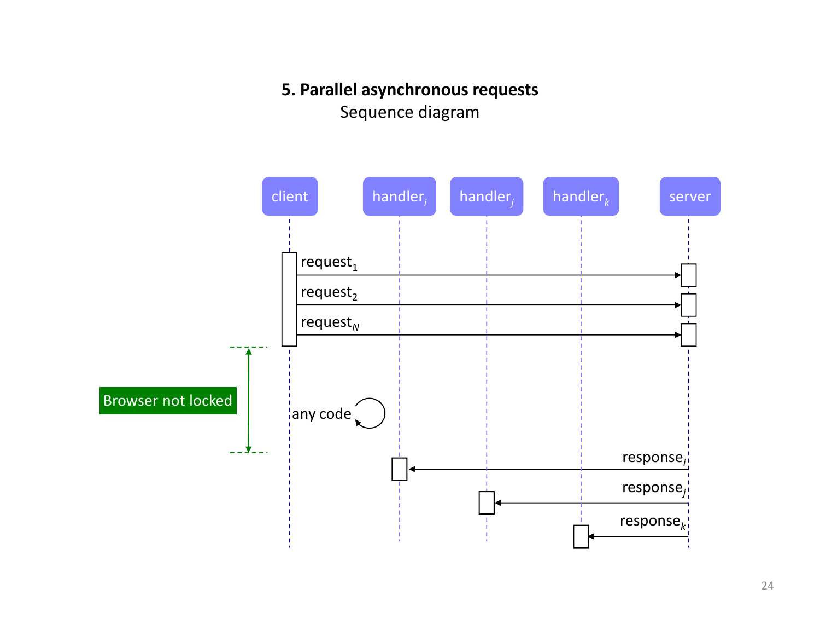### 5. Parallel asynchronous requests

Sequence diagram

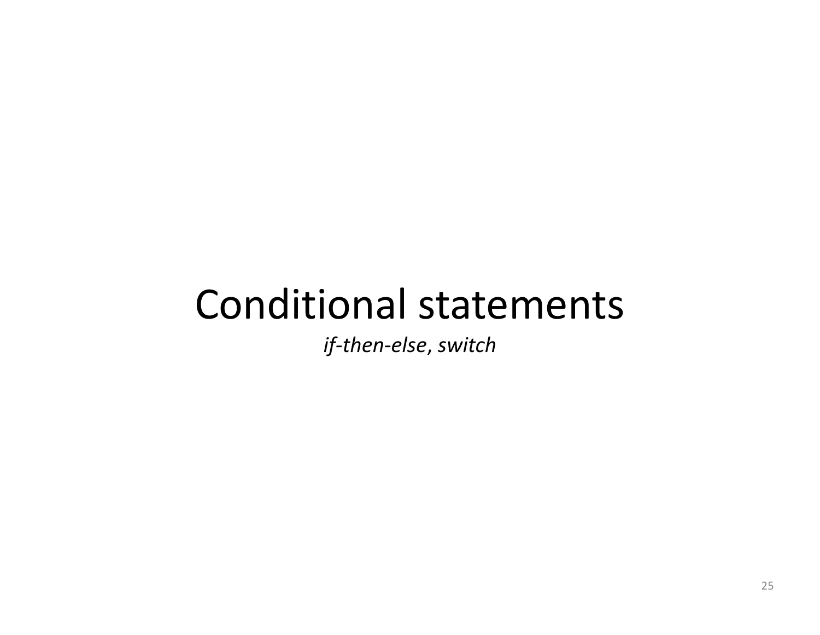## Conditional statements

if-then-else, switch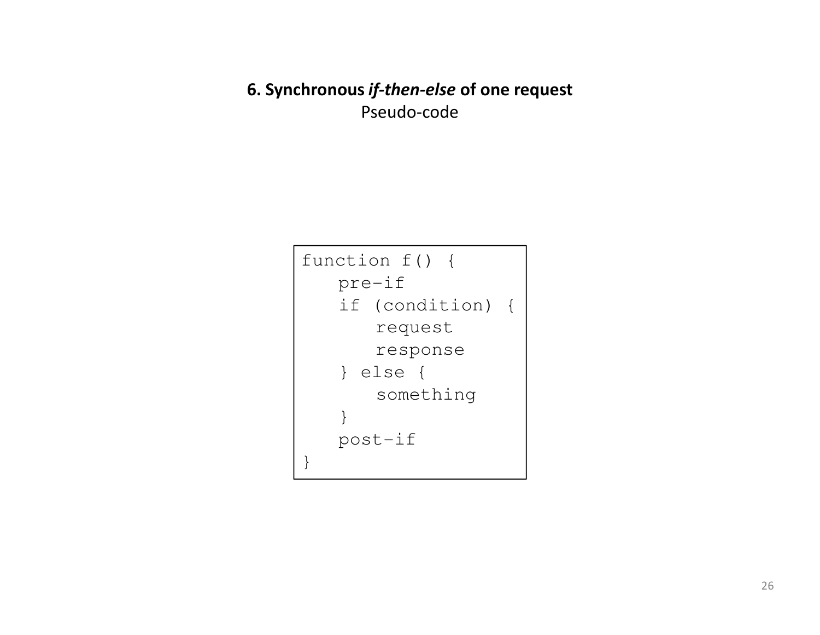6. Synchronous *if-then-else* of one reques<mark>t</mark> Pseudo-code

```
function f() {pre-if
if (condition) {request
response} else {
something}
post-if}
```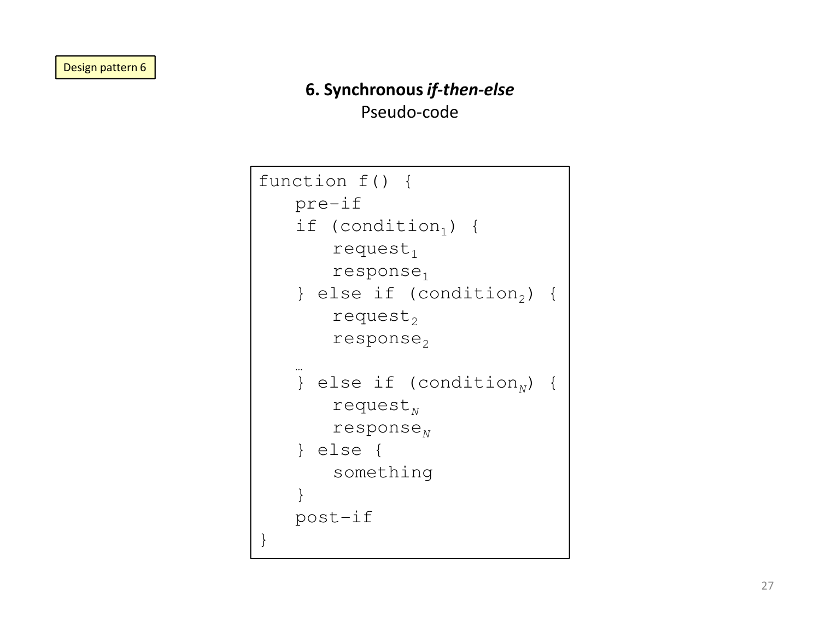## 6. Synchronous if-then-elsePseudo-code

```
function f() {pre-ifif (condition_{1}) {
         request<sub>1</sub>response_1} else if (condition_{2}) {
         request<sub>2</sub>response_2…} else if (condition<sub>N</sub>) {
         request_Nresponse_{\scriptscriptstyle N}} else {
something}
post-if}
```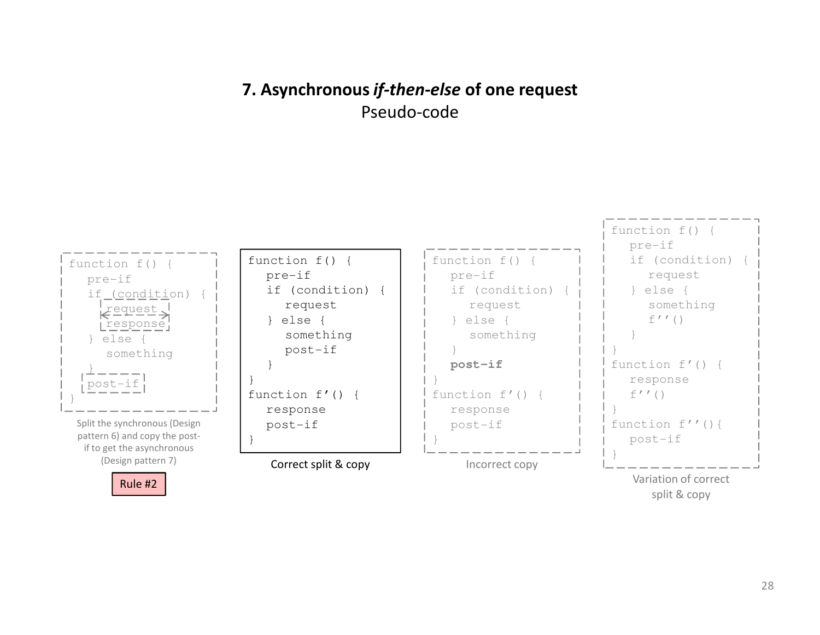## 7. Asynchronous *if-then-else* of one request Pseudo-code



split & copy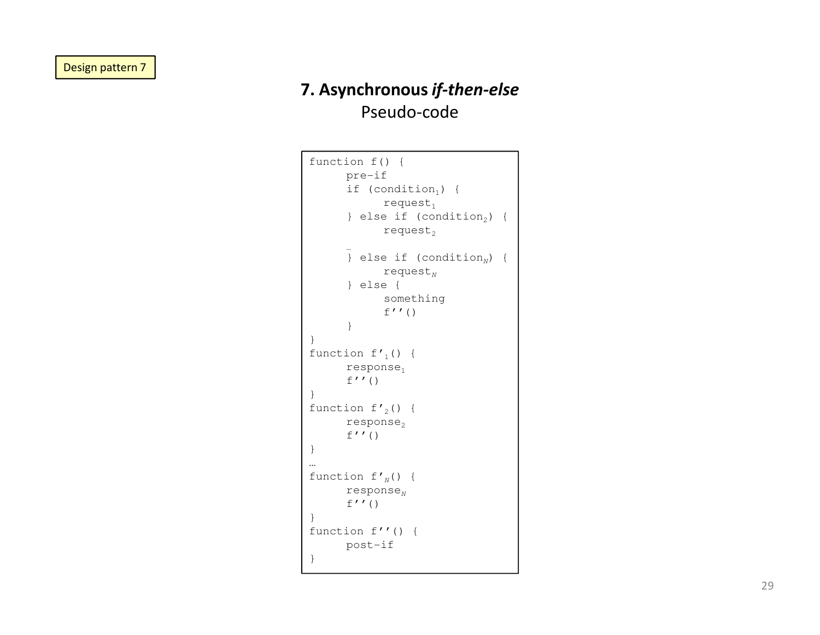## 7. Asynchronous if-then-elsePseudo-code

```
function f() {pre-ifif (condition<sub>1</sub>) {
               request_1} else if (condition_2) {
               request<sub>2</sub>} else if (condition<sub>N</sub>) {
               request_N} else {
somethingf''()
        }}function f\prime_1() {
       response<sub>1</sub>f''()}function f\prime_2() {
       response<sub>2</sub>f''()
}<br>…<br>function f'<sub>N</sub>() {
        response_{\scriptscriptstyle N}f''()
}
function f''() {post-if}
```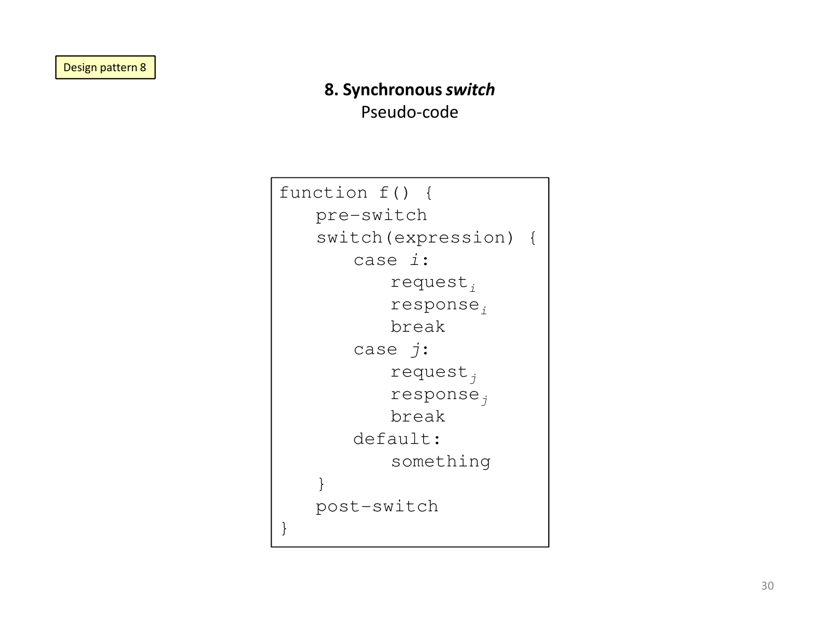## 8. Synchronous switchPseudo-code

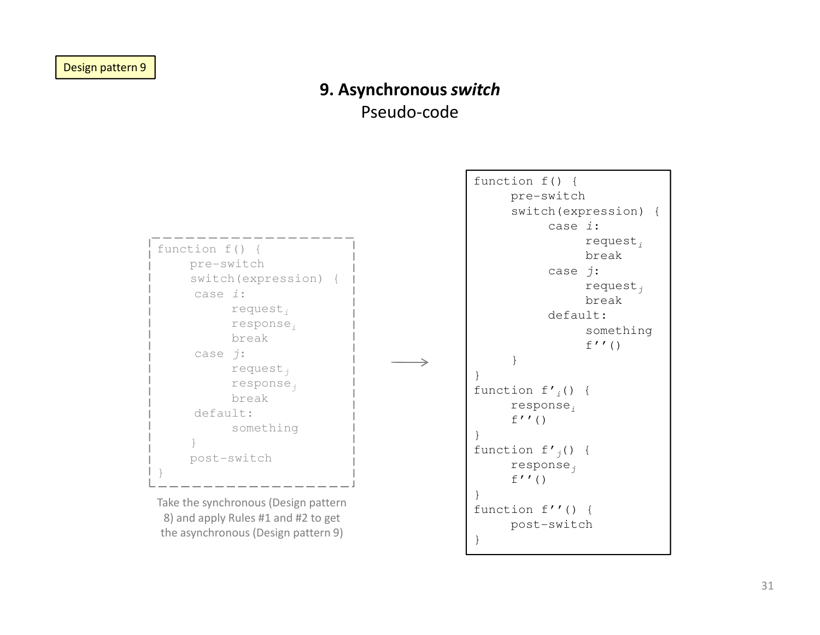### 9. Asynchronous switchPseudo-code

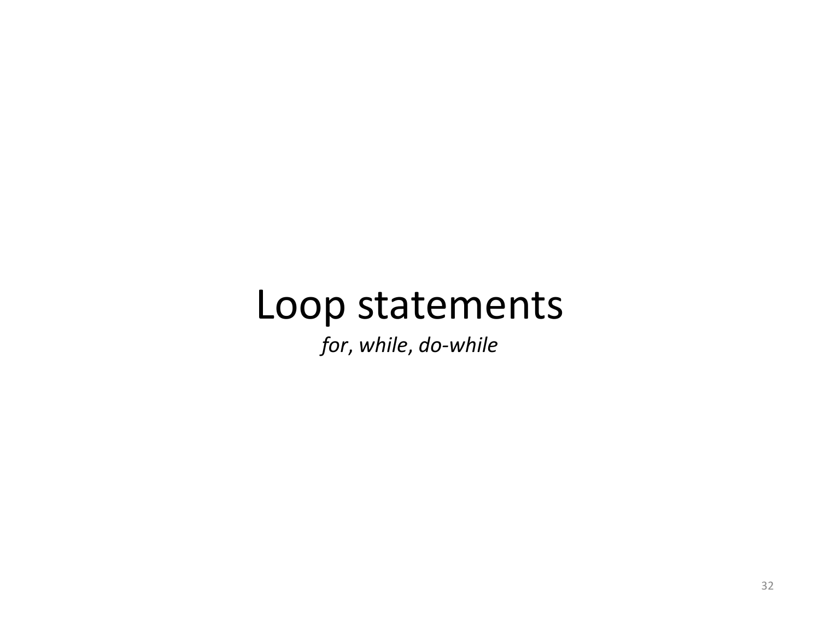## Loop statements

for, while, do-while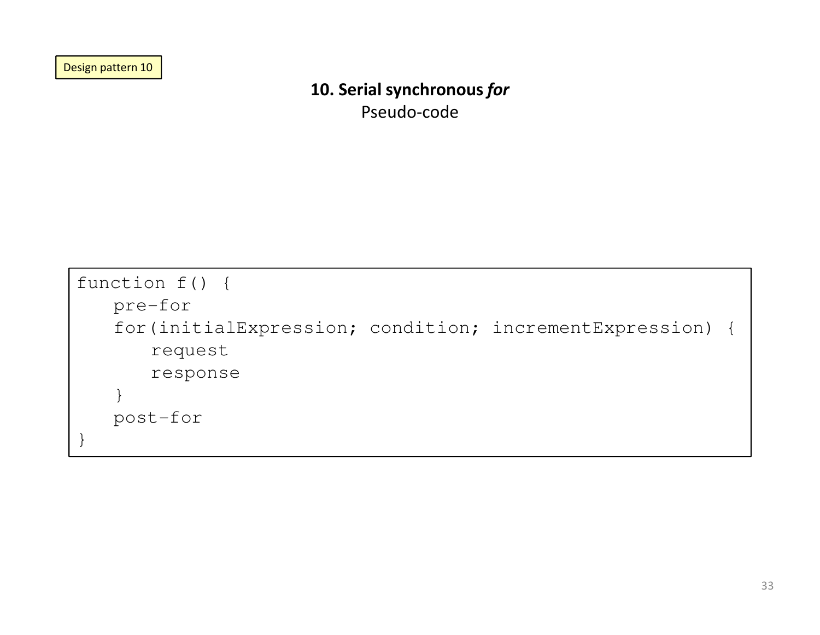Design pattern 10

## 10. Serial synchronous for

Pseudo-code

```
function f() {pre-for
for(initialExpression; condition; incrementExpression) {request
response}
post-for}
```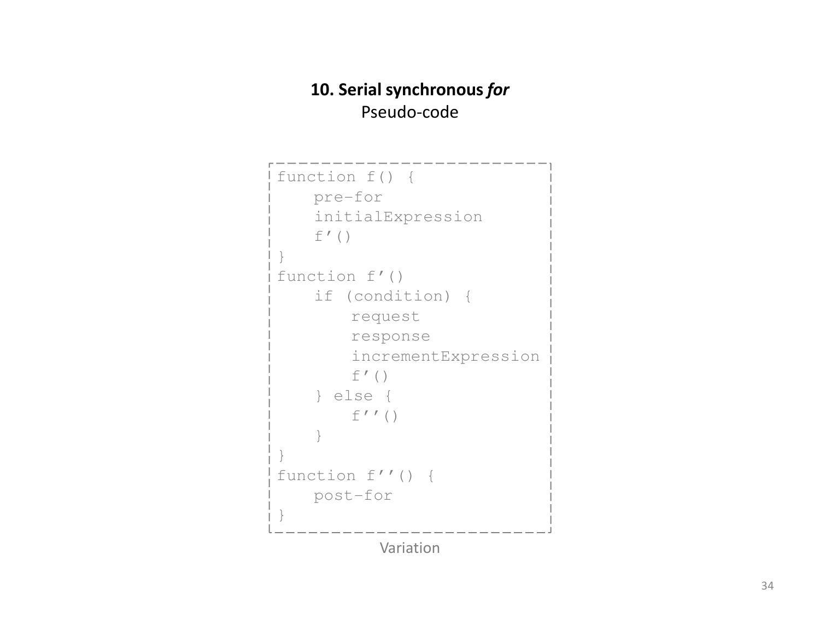## 10. Serial synchronous forPseudo-code

```
function f() {pre-for
initialExpressionf'(\ )}
function f'()
if (condition) {request
response
incrementExpressionf' ()

} else {
f''()}}
function f''() {post-for}Variation
```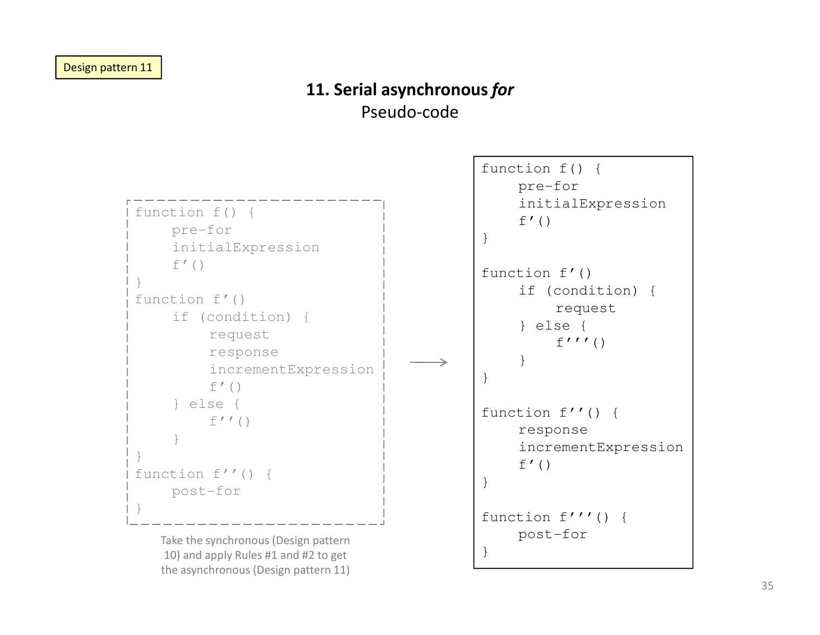### 11. Serial asynchronous forPseudo-code



the asynchronous (Design pattern 11)

function f''() {response incrementExpressionfunction f'''() {post-for}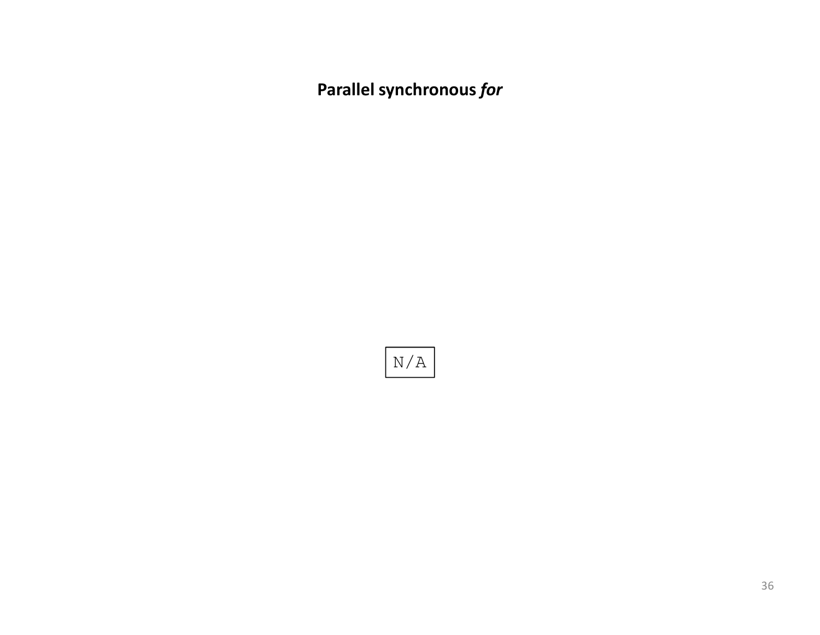Parallel synchronous for

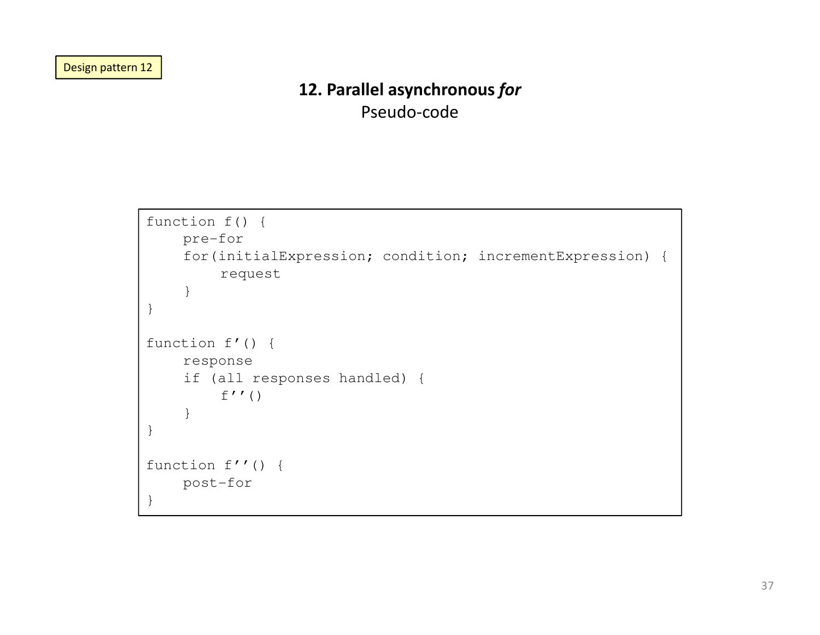Design pattern 12

### 12. Parallel asynchronous for

Pseudo-code

```
function f() {pre-for
for(initialExpression; condition; incrementExpression) {request}}function f'() {response
if (all responses handled) {f''()
    }}function f''() {post-for}
```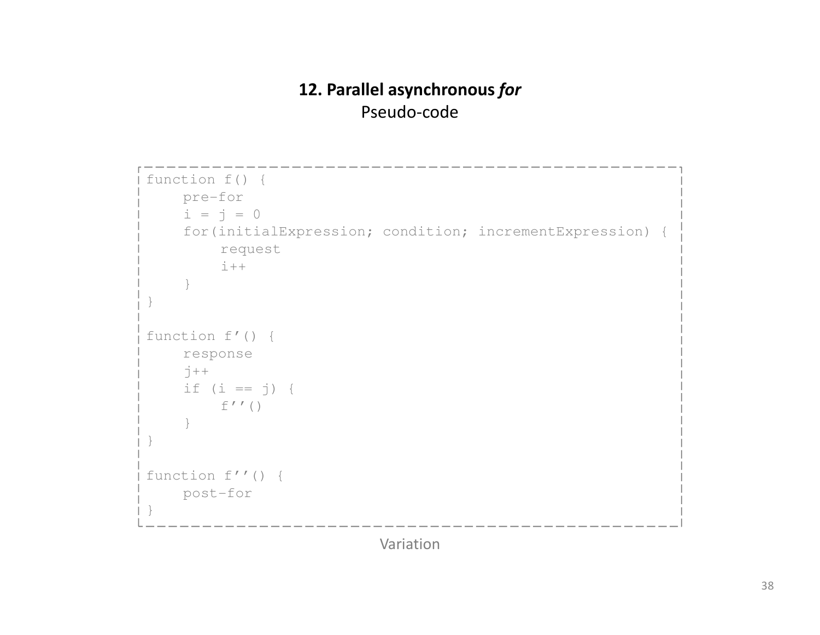## 12. Parallel asynchronous forPseudo-code

```
function f() {pre-fori = j = 0for(initialExpression; condition; incrementExpression) {requesti++}}function f'() {response\vec{c} + +

if (i == j) {
       f'' ()
     }}function f''() {post-for}
```
Variation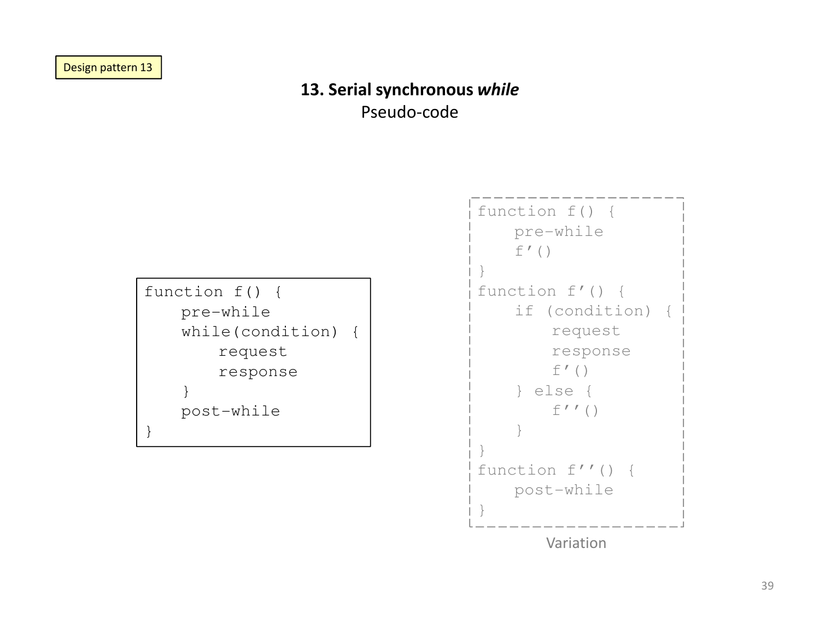### 13. Serial synchronous while

Pseudo-code

function f() {pre-while while(condition) {request response} post-while}

```
function f() {pre-whilef'()}
function f'() {
if (condition) {request
responsef'()
} else {
f''()}}
function f''() {post-while}Variation
```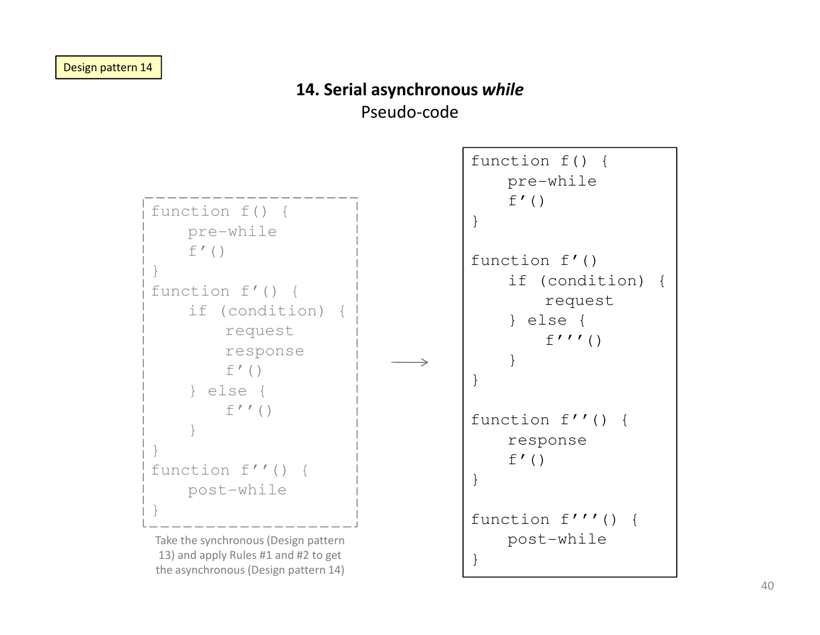## 14. Serial asynchronous while

Pseudo-code



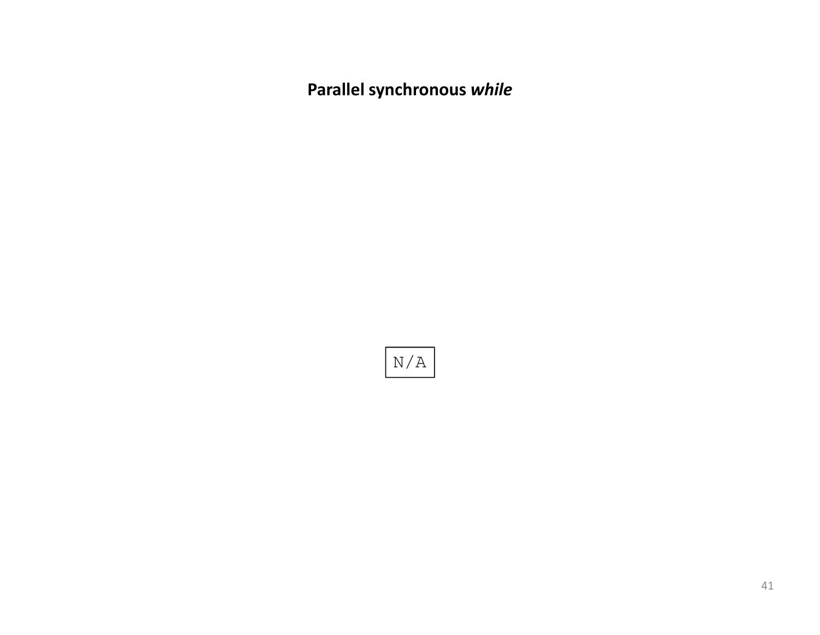Parallel synchronous while

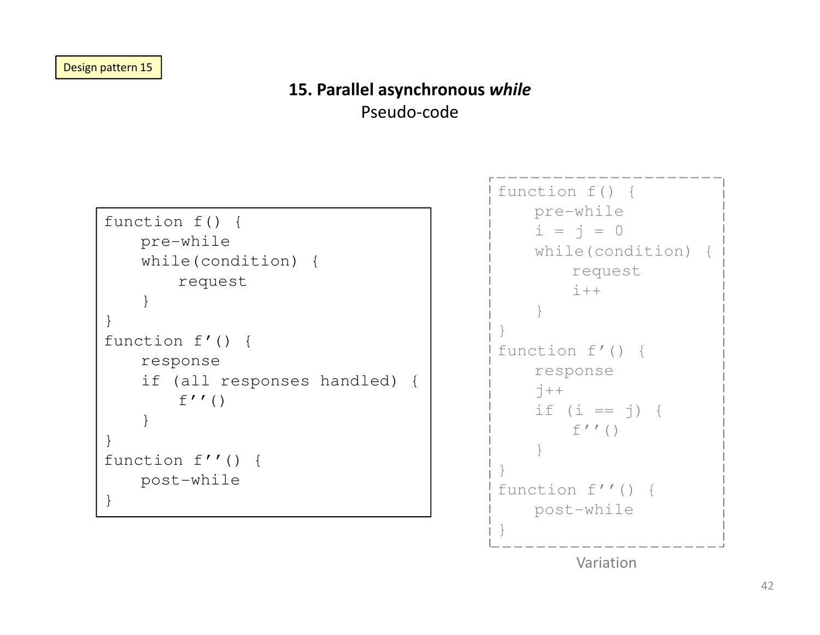### 15. Parallel asynchronous while

Pseudo-code

```
function f() {pre-while
while(condition) {request}}
function f'() {response
if (all responses handled) {f''()
    }}
function f''() {post-while}
```

```
function f() {
pre-whilei = j = 0while(condition) {requesti++}}
function f'() {responsej++
if (i == j) {
       f''()
    }}
function f''() {post-while}
```
Variation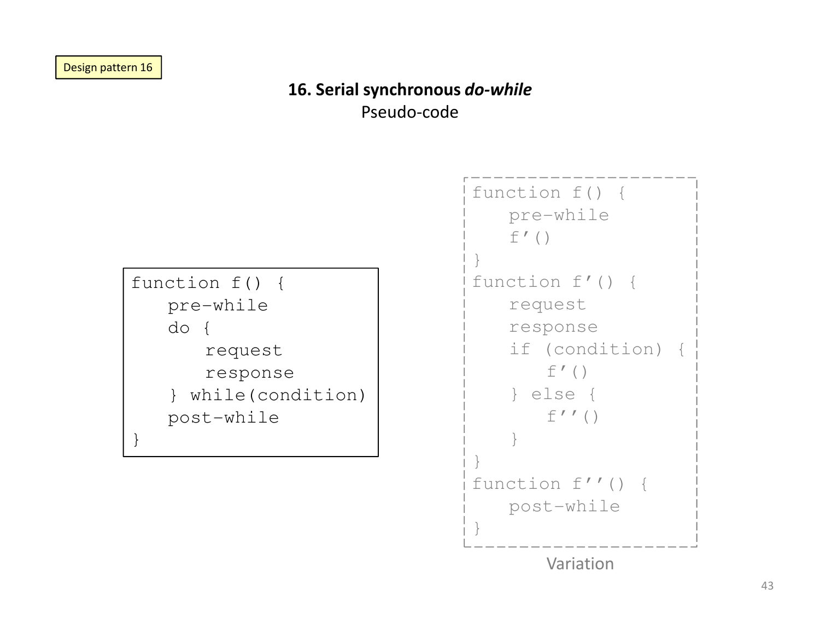## 16. Serial synchronous do-while

Pseudo-code



Variation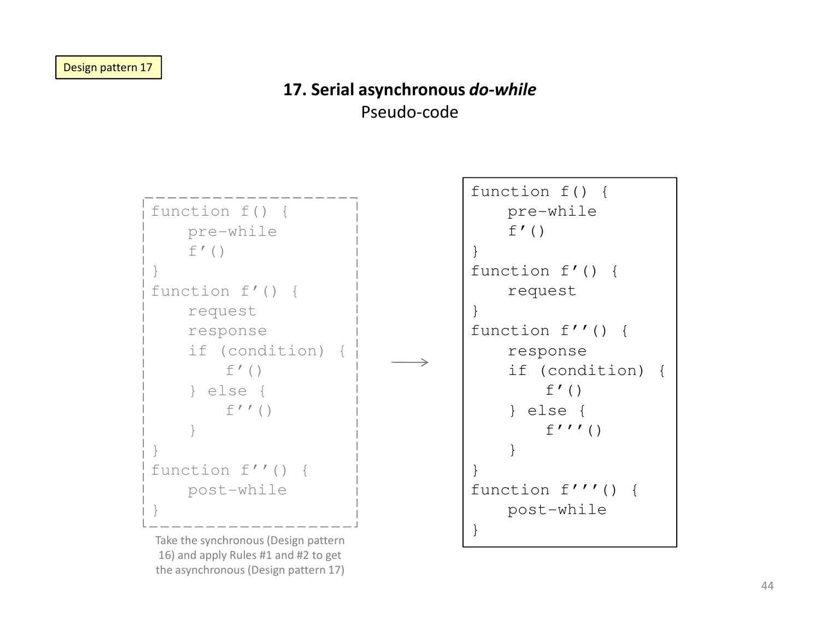### 17. Serial asynchronous do-whilePseudo-code



Take the synchronous (Design pattern 16) and apply Rules #1 and #2 to get the asynchronous (Design pattern 17)

```
function f() {pre-whilef' ()

function f'() {request
function f''() {response
if (condition) {f' ()

} else {f'''()
    }
function f'''() {post-while}
```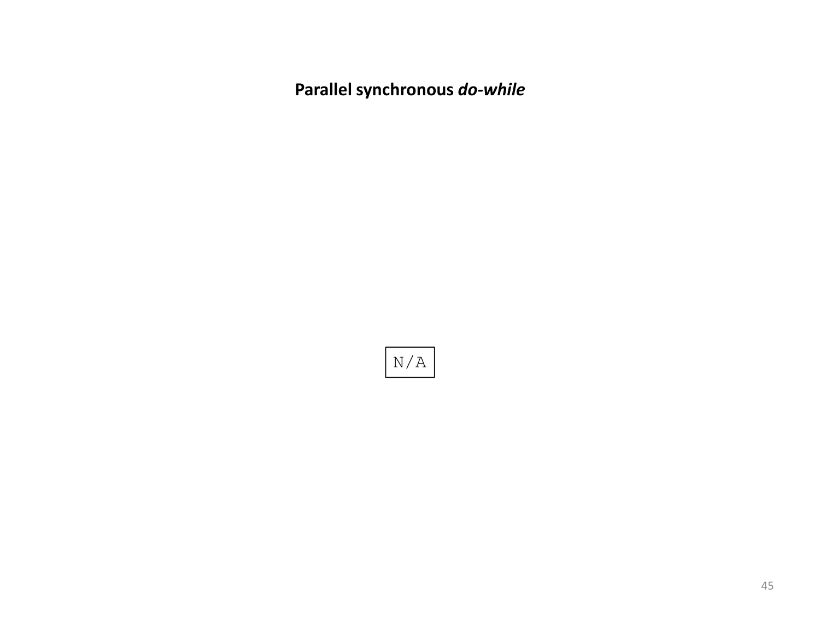Parallel synchronous do-while

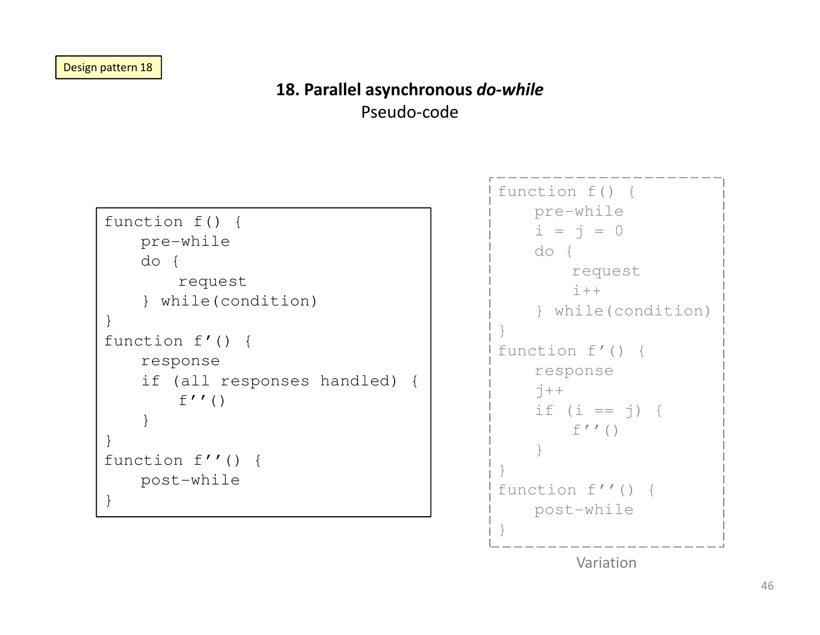## 18. Parallel asynchronous do-while

Pseudo-code

```
function f() {pre-whiledo {request
} while(condition)}
function f'() {response
if (all responses handled) {f''()
    }}
function f''() {post-while}
```

```
function f() {
pre-whilei = j = 0do {
requesti++
} while(condition)}
function f'() {response\vec{c} + +

if (i == j) {
       f''()
    }}
function f''() {post-while}
```
Variation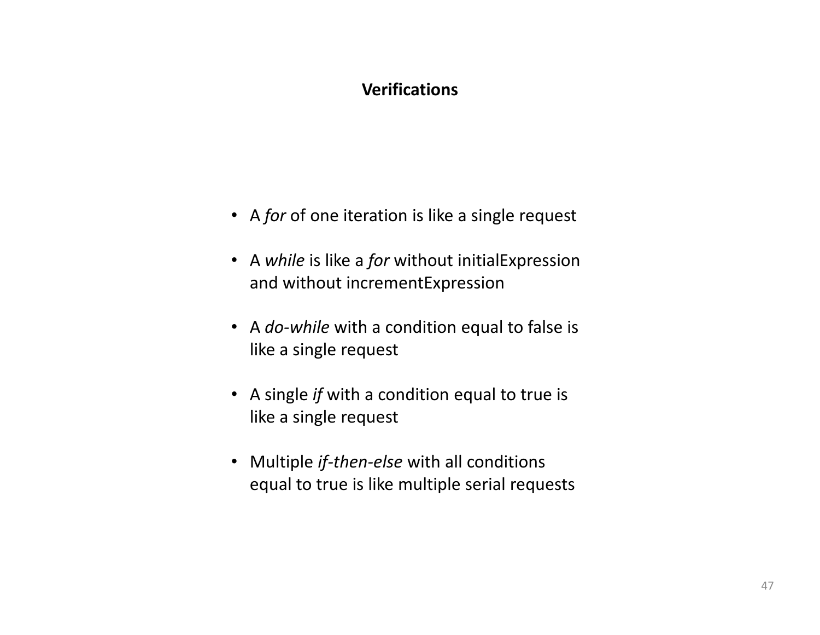### Verifications

- A for of one iteration is like a single request
- A while is like a for without initialExpression and without incrementExpression
- A *do-while* with a condition equal to false is like a single request
- A single *if* with a condition equal to true is like a single request
- Multiple *if-then-else* with all conditions equal to true is like multiple serial requests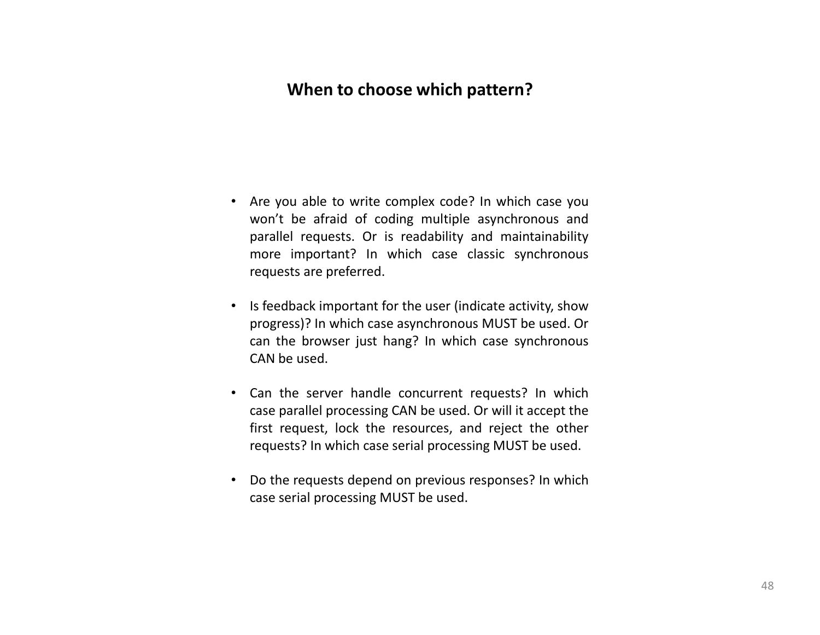### When to choose which pattern?

- Are you able to write complex code? In which case you won't be afraid of coding multiple asynchronous and parallel requests. Or is readability and maintainability more important? In which case classic synchronous requests are preferred.
- Is feedback important for the user (indicate activity, show progress)? In which case asynchronous MUST be used. Or can the browser just hang? In which case synchronous CAN be used.
- Can the server handle concurrent requests? In which case parallel processing CAN be used. Or will it accept the first request, lock the resources, and reject the other requests? In which case serial processing MUST be used.
- Do the requests depend on previous responses? In whichcase serial processing MUST be used.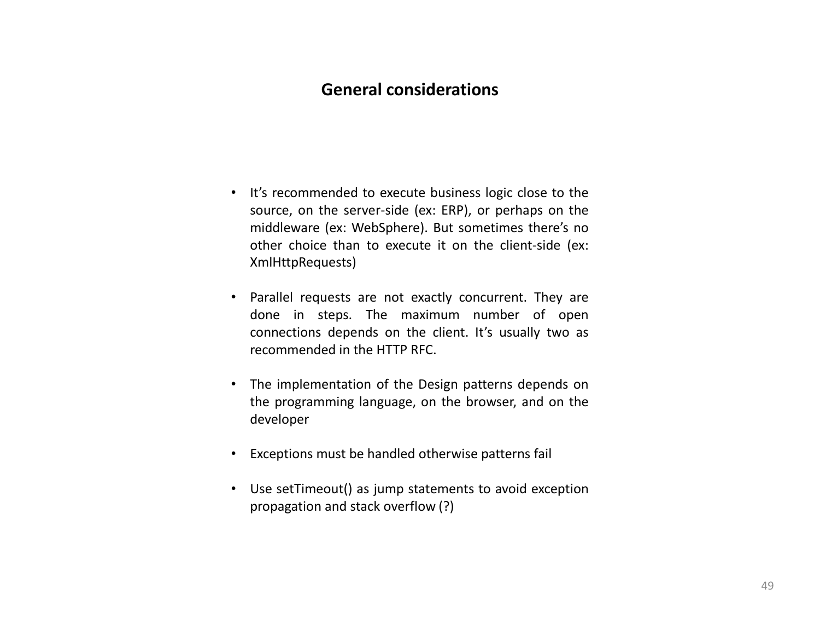### General considerations

- It's recommended to execute business logic close to the source, on the server-side (ex: ERP), or perhaps on the middleware (ex: WebSphere). But sometimes there's no other choice than to execute it on the client-side (ex: XmlHttpRequests)
- Parallel requests are not exactly concurrent. They are done in steps. The maximum number of open connections depends on the client. It's usually two as recommended in the HTTP RFC.
- The implementation of the Design patterns depends on the programming language, on the browser, and on the developer
- Exceptions must be handled otherwise patterns fail
- Use setTimeout() as jump statements to avoid exceptionpropagation and stack overflow (?)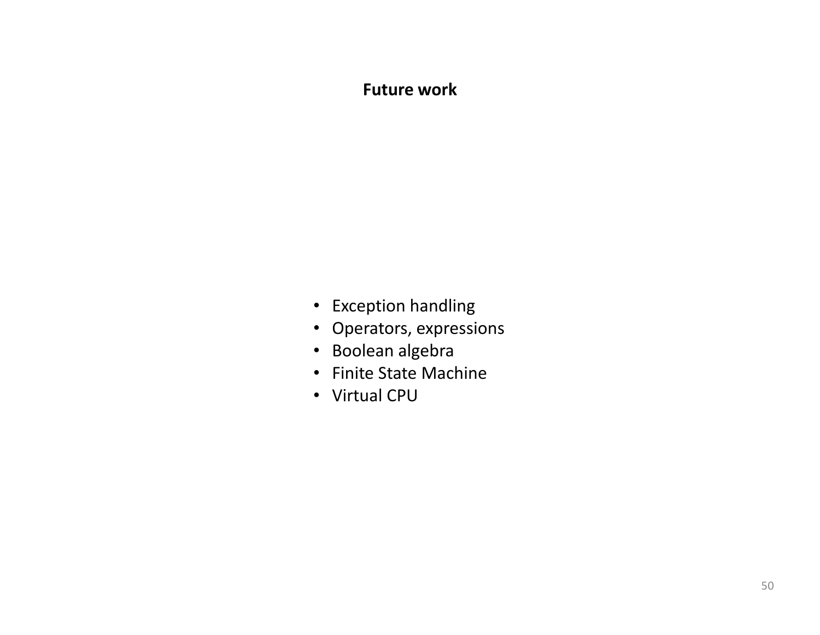### Future work

- Exception handling
- Operators, expressions
- Boolean algebra
- Finite State Machine
- Virtual CPU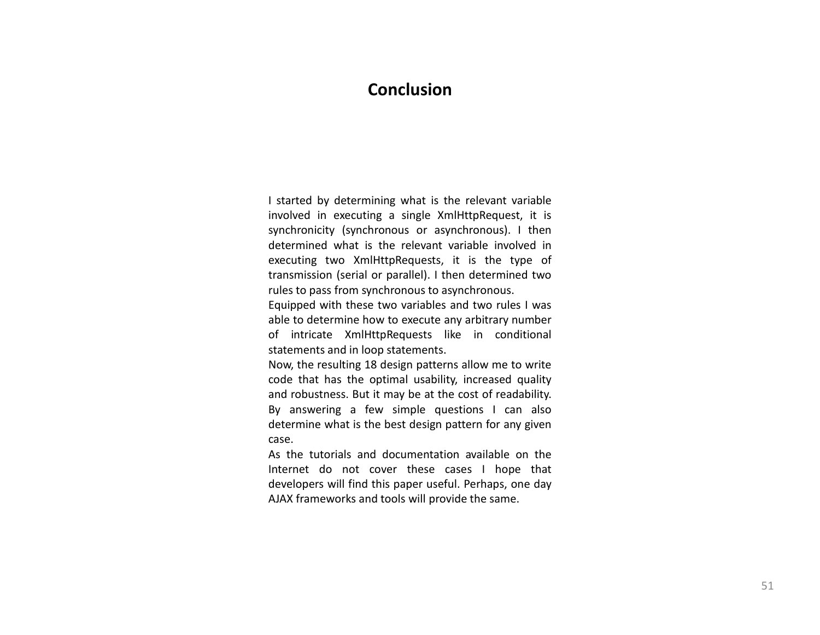#### Conclusion

<sup>I</sup> started by determining what is the relevant variable involved in executing <sup>a</sup> single XmlHttpRequest, it is synchronicity (synchronous or asynchronous). <sup>I</sup> then determined what is the relevant variable involved in executing two XmlHttpRequests, it is the type of transmission (serial or parallel). <sup>I</sup> then determined tworules to pass from synchronous to asynchronous.

Equipped with these two variables and two rules <sup>I</sup> was able to determine how to execute any arbitrary number<br>All the state of the state of the state of the state of the state of the state of the state of the state of th of intricate XmlHttpRequests like in conditional statements and in loop statements.

Now, the resulting <sup>18</sup> design patterns allow me to write code that has the optimal usability, increased quality and robustness. But it may be at the cost of readability. By answering <sup>a</sup> few simple questions <sup>I</sup> can also determine what is the best design pattern for any givencase.

As the tutorials and documentation available on the Internet do not cover these cases <sup>I</sup> hope that developers will find this paper useful. Perhaps, one day AJAX frameworks and tools will provide the same.